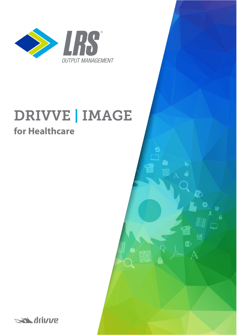

## **DRIVVE | IMAGE for Healthcare**

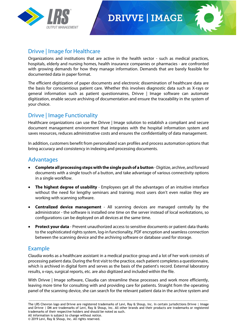

### **DRIVVE | IMAGE**



#### Drivve | Image for Healthcare

Organizations and institutions that are active in the health sector - such as medical practices, hospitals, elderly and nursing homes, health insurance companies or pharmacies - are confronted with growing demands for how they manage information. Demands that are barely feasible for documented data in paper format.

The efficient digitization of paper documents and electronic dissemination of healthcare data are the basis for conscientious patient care. Whether this involves diagnostic data such as X-rays or general information such as patient questionnaires, Drivve | Image software can automate digitization, enable secure archiving of documentation and ensure the traceability in the system of your choice.

#### Drivve | Image Functionality

Healthcare organizations can use the Drivve | Image solution to establish a compliant and secure document management environment that integrates with the hospital information system and saves resources, reduces administrative costs and ensures the confidentiality of data management.

In addition, customers benefit from personalized scan profiles and process automation options that bring accuracy and consistency in indexing and processing documents.

#### Advantages

- **Complete all processing steps with the single push of a button** -Digitize, archive, and forward documents with a single touch of a button, and take advantage of various connectivity options in a single workflow.
- **The highest degree of usability** Employees get all the advantages of an intuitive interface without the need for lengthy seminars and training; most users don't even realize they are working with scanning software.
- **Centralized device management** All scanning devices are managed centrally by the administrator - the software is installed one time on the server instead of local workstations, so configurations can be deployed on all devices at the same time.
- **Protect your data** Prevent unauthorized access to sensitive documents or patient data thanks to the sophisticated rights system, log-in functionality, PDF encryption and seamless connection between the scanning device and the archiving software or database used for storage.

#### Example

Claudia works as a healthcare assistant in a medical practice group and a lot of her work consists of processing patient data. During the first visit to the practice, each patient completes a questionnaire, which is archived in digital form and serves as the basis of the patient's record. External laboratory results, x-rays, surgical reports, etc. are also digitized and included within the file.

With Drivve | Image software, Claudia can streamline these processes and work more efficiently, leaving more time for consulting with and providing care for patients. Straight from the operating panel of the scanning device, she can search for the relevant patient data in the archive system and

<sup>------------------------------------------------------------------------------------------------------------------------------------------------------</sup> The LRS Chevron logo and Drivve are registered trademarks of Levi, Ray & Shoup, Inc. In certain jurisdictions Drivve | Image and Drivve | DM are trademarks of Levi, Ray & Shoup, Inc. All other brands and their products are trademarks or registered trademarks of their respective holders and should be noted as such. All information is subject to change without notice.

<sup>©</sup> 2019 Levi, Ray & Shoup, Inc. All rights reserved.